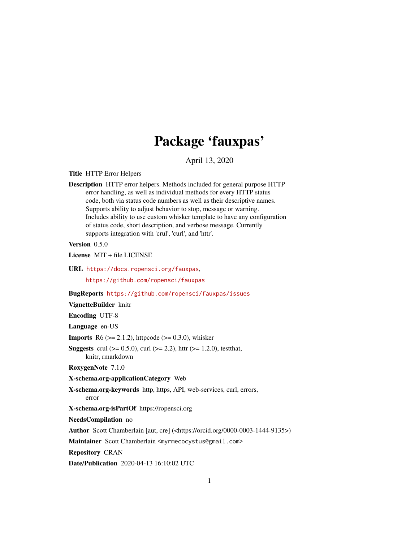# Package 'fauxpas'

April 13, 2020

Title HTTP Error Helpers

Description HTTP error helpers. Methods included for general purpose HTTP error handling, as well as individual methods for every HTTP status code, both via status code numbers as well as their descriptive names. Supports ability to adjust behavior to stop, message or warning. Includes ability to use custom whisker template to have any configuration of status code, short description, and verbose message. Currently supports integration with 'crul', 'curl', and 'httr'.

Version 0.5.0

License MIT + file LICENSE

URL <https://docs.ropensci.org/fauxpas>, <https://github.com/ropensci/fauxpas>

BugReports <https://github.com/ropensci/fauxpas/issues>

VignetteBuilder knitr

Encoding UTF-8

Language en-US

**Imports** R6 ( $>= 2.1.2$ ), httpcode ( $>= 0.3.0$ ), whisker

**Suggests** crul ( $>= 0.5.0$ ), curl ( $>= 2.2$ ), httr ( $>= 1.2.0$ ), testthat, knitr, rmarkdown

RoxygenNote 7.1.0

X-schema.org-applicationCategory Web

X-schema.org-keywords http, https, API, web-services, curl, errors, error

X-schema.org-isPartOf https://ropensci.org

NeedsCompilation no

Author Scott Chamberlain [aut, cre] (<https://orcid.org/0000-0003-1444-9135>)

Maintainer Scott Chamberlain <myrmecocystus@gmail.com>

Repository CRAN

Date/Publication 2020-04-13 16:10:02 UTC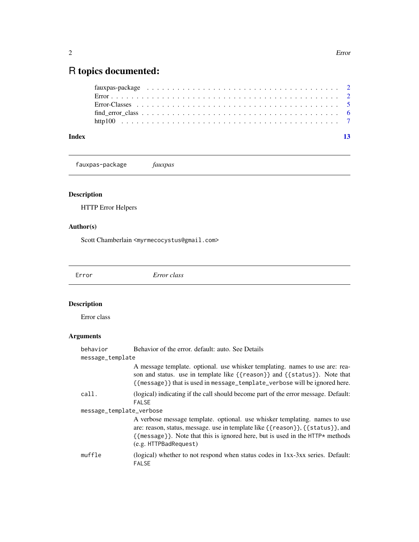## <span id="page-1-0"></span>R topics documented:

| Index |  |
|-------|--|

fauxpas-package *fauxpas*

#### Description

HTTP Error Helpers

#### Author(s)

Scott Chamberlain <myrmecocystus@gmail.com>

<span id="page-1-1"></span>Error *Error class*

### Description

Error class

### Arguments

| behavior                 | Behavior of the error, default: auto. See Details                                                                                                                                                                                                                                                      |  |  |  |
|--------------------------|--------------------------------------------------------------------------------------------------------------------------------------------------------------------------------------------------------------------------------------------------------------------------------------------------------|--|--|--|
| message_template         |                                                                                                                                                                                                                                                                                                        |  |  |  |
|                          | A message template. optional. use whisker templating. names to use are: rea-<br>son and status. use in template like $\{$ reason $\}$ and $\{$ status $\}$ . Note that<br>{{message}} that is used in message_template_verbose will be ignored here.                                                   |  |  |  |
| call.                    | (logical) indicating if the call should become part of the error message. Default:<br><b>FALSE</b>                                                                                                                                                                                                     |  |  |  |
| message_template_verbose |                                                                                                                                                                                                                                                                                                        |  |  |  |
|                          | A verbose message template. optional. use whisker templating. names to use<br>are: reason, status, message. use in template like $\{ \{$ reason $\} \}$ , $\{ \{$ status $\}$ }, and<br>${\{$ message $\}$ . Note that this is ignored here, but is used in the HTTP* methods<br>(e.g. HTTPBadRequest) |  |  |  |
| muffle                   | (logical) whether to not respond when status codes in 1xx-3xx series. Default:<br><b>FALSE</b>                                                                                                                                                                                                         |  |  |  |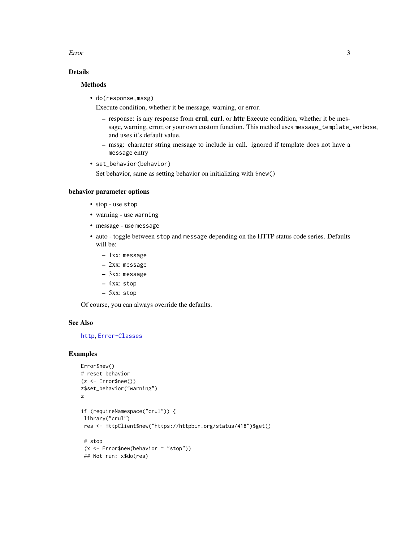#### <span id="page-2-0"></span>Error 3

#### Details

#### **Methods**

• do(response,mssg)

Execute condition, whether it be message, warning, or error.

- response: is any response from crul, curl, or httr Execute condition, whether it be message, warning, error, or your own custom function. This method uses message\_template\_verbose, and uses it's default value.
- mssg: character string message to include in call. ignored if template does not have a message entry
- set\_behavior(behavior) Set behavior, same as setting behavior on initializing with \$new()

#### behavior parameter options

- stop use stop
- warning use warning
- message use message
- auto toggle between stop and message depending on the HTTP status code series. Defaults will be:
	- 1xx: message
	- 2xx: message
	- 3xx: message
	- 4xx: stop
	- 5xx: stop

Of course, you can always override the defaults.

#### See Also

#### [http](#page-6-1), [Error-Classes](#page-4-1)

#### Examples

```
Error$new()
# reset behavior
(z < - Error$new())
z$set_behavior("warning")
z
if (requireNamespace("crul")) {
 library("crul")
 res <- HttpClient$new("https://httpbin.org/status/418")$get()
 # stop
 (x <- Error$new(behavior = "stop"))
 ## Not run: x$do(res)
```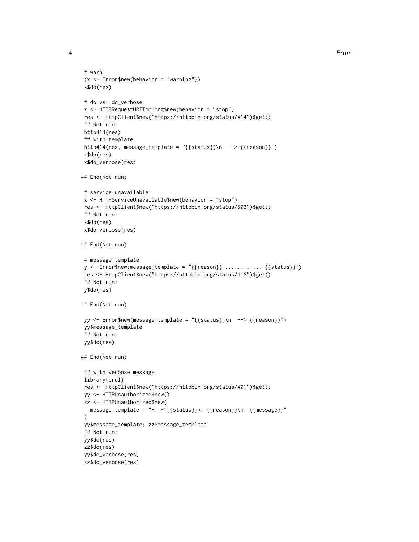```
# warn
 (x <- Error$new(behavior = "warning"))
x$do(res)
# do vs. do_verbose
x <- HTTPRequestURITooLong$new(behavior = "stop")
res <- HttpClient$new("https://httpbin.org/status/414")$get()
## Not run:
http414(res)
## with template
http414(res, message_template = "{{status}}\n --> {{reason}}")
x$do(res)
x$do_verbose(res)
## End(Not run)
# service unavailable
x <- HTTPServiceUnavailable$new(behavior = "stop")
res <- HttpClient$new("https://httpbin.org/status/503")$get()
## Not run:
x$do(res)
x$do_verbose(res)
## End(Not run)
# message template
y \leq - Error$new(message_template = "{{reason}} ............. {{status}}")
res <- HttpClient$new("https://httpbin.org/status/418")$get()
## Not run:
y$do(res)
## End(Not run)
yy <- Error$new(message_template = "{{status}}\n --> {{reason}}")
yy$message_template
## Not run:
yy$do(res)
## End(Not run)
## with verbose message
library(crul)
res <- HttpClient$new("https://httpbin.org/status/401")$get()
yy <- HTTPUnauthorized$new()
zz <- HTTPUnauthorized$new(
  message_template = "HTTP({{status}}): {{reason}}\n {{message}}"
\lambdayy$message_template; zz$message_template
## Not run:
yy$do(res)
zz$do(res)
yy$do_verbose(res)
zz$do_verbose(res)
```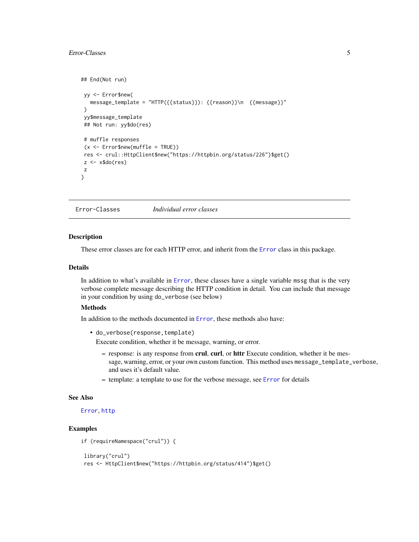#### <span id="page-4-0"></span>Error-Classes 5

```
## End(Not run)
yy <- Error$new(
  message_template = "HTTP({{status}}): {{reason}}\n {{message}}"
)
yy$message_template
## Not run: yy$do(res)
# muffle responses
 (x <- Error$new(muffle = TRUE))
res <- crul::HttpClient$new("https://httpbin.org/status/226")$get()
z \leftarrow x$do(res)
z
}
```
<span id="page-4-1"></span>Error-Classes *Individual error classes*

#### Description

These error classes are for each HTTP error, and inherit from the [Error](#page-1-1) class in this package.

#### Details

In addition to what's available in [Error](#page-1-1), these classes have a single variable mssg that is the very verbose complete message describing the HTTP condition in detail. You can include that message in your condition by using do\_verbose (see below)

#### Methods

In addition to the methods documented in [Error](#page-1-1), these methods also have:

• do\_verbose(response, template)

Execute condition, whether it be message, warning, or error.

- response: is any response from crul, curl, or httr Execute condition, whether it be message, warning, error, or your own custom function. This method uses message\_template\_verbose, and uses it's default value.
- template: a template to use for the verbose message, see [Error](#page-1-1) for details

#### See Also

#### [Error](#page-1-1), [http](#page-6-1)

#### Examples

```
if (requireNamespace("crul")) {
```

```
library("crul")
res <- HttpClient$new("https://httpbin.org/status/414")$get()
```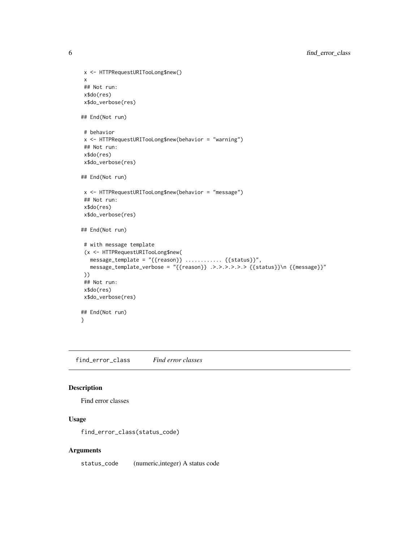```
x <- HTTPRequestURITooLong$new()
x
## Not run:
x$do(res)
x$do_verbose(res)
## End(Not run)
# behavior
x <- HTTPRequestURITooLong$new(behavior = "warning")
## Not run:
x$do(res)
x$do_verbose(res)
## End(Not run)
x <- HTTPRequestURITooLong$new(behavior = "message")
## Not run:
x$do(res)
x$do_verbose(res)
## End(Not run)
# with message template
(x <- HTTPRequestURITooLong$new(
  message_template = "{{reason}} ............ {{status}}",
  message_template_verbose = "{{reason}} .>.>.>.>.>.> {{status}}\n {{message}}"
))
## Not run:
x$do(res)
x$do_verbose(res)
## End(Not run)
}
```
find\_error\_class *Find error classes*

#### Description

Find error classes

#### Usage

find\_error\_class(status\_code)

#### Arguments

status\_code (numeric,integer) A status code

<span id="page-5-0"></span>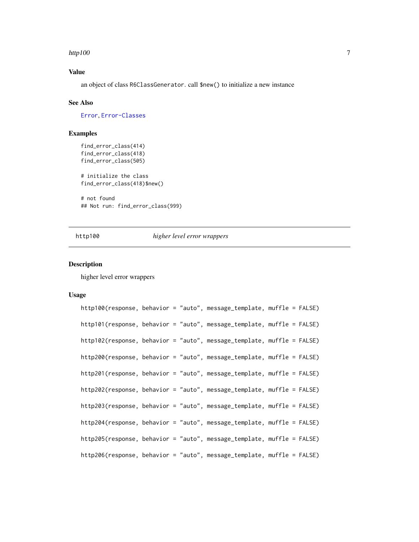#### <span id="page-6-0"></span>http100 7

#### Value

an object of class R6ClassGenerator. call \$new() to initialize a new instance

#### See Also

[Error](#page-1-1), [Error-Classes](#page-4-1)

#### Examples

```
find_error_class(414)
find_error_class(418)
find_error_class(505)
```

```
# initialize the class
find_error_class(418)$new()
```
# not found ## Not run: find\_error\_class(999)

#### http100 *higher level error wrappers*

#### <span id="page-6-1"></span>**Description**

higher level error wrappers

#### Usage

```
http100(response, behavior = "auto", message_template, muffle = FALSE)
http101(response, behavior = "auto", message_template, muffle = FALSE)
http102(response, behavior = "auto", message_template, muffle = FALSE)
http200(response, behavior = "auto", message_template, muffle = FALSE)
http201(response, behavior = "auto", message_template, muffle = FALSE)
http202(response, behavior = "auto", message_template, muffle = FALSE)
http203(response, behavior = "auto", message_template, muffle = FALSE)
http204(response, behavior = "auto", message_template, muffle = FALSE)
http205(response, behavior = "auto", message_template, muffle = FALSE)
http206(response, behavior = "auto", message_template, muffle = FALSE)
```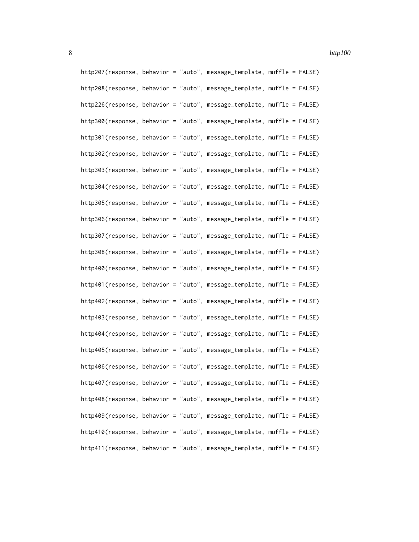http207(response, behavior = "auto", message\_template, muffle = FALSE) http208(response, behavior = "auto", message\_template, muffle = FALSE) http226(response, behavior = "auto", message\_template, muffle = FALSE) http300(response, behavior = "auto", message\_template, muffle = FALSE) http301(response, behavior = "auto", message\_template, muffle = FALSE) http302(response, behavior = "auto", message\_template, muffle = FALSE) http303(response, behavior = "auto", message\_template, muffle = FALSE) http304(response, behavior = "auto", message\_template, muffle = FALSE) http305(response, behavior = "auto", message\_template, muffle = FALSE) http306(response, behavior = "auto", message\_template, muffle = FALSE) http307(response, behavior = "auto", message\_template, muffle = FALSE) http308(response, behavior = "auto", message\_template, muffle = FALSE) http400(response, behavior = "auto", message\_template, muffle = FALSE) http401(response, behavior = "auto", message\_template, muffle = FALSE) http402(response, behavior = "auto", message\_template, muffle = FALSE) http403(response, behavior = "auto", message\_template, muffle = FALSE) http404(response, behavior = "auto", message\_template, muffle = FALSE) http405(response, behavior = "auto", message\_template, muffle = FALSE) http406(response, behavior = "auto", message\_template, muffle = FALSE) http407(response, behavior = "auto", message\_template, muffle = FALSE) http408(response, behavior = "auto", message\_template, muffle = FALSE) http409(response, behavior = "auto", message\_template, muffle = FALSE) http410(response, behavior = "auto", message\_template, muffle = FALSE) http411(response, behavior = "auto", message\_template, muffle = FALSE)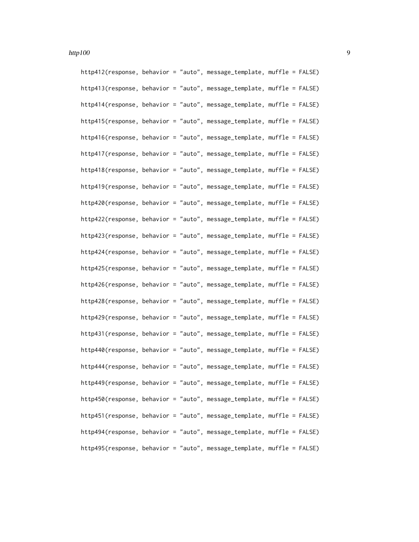http412(response, behavior = "auto", message\_template, muffle = FALSE) http413(response, behavior = "auto", message\_template, muffle = FALSE) http414(response, behavior = "auto", message\_template, muffle = FALSE) http415(response, behavior = "auto", message\_template, muffle = FALSE) http416(response, behavior = "auto", message\_template, muffle = FALSE) http417(response, behavior = "auto", message\_template, muffle = FALSE) http418(response, behavior = "auto", message\_template, muffle = FALSE) http419(response, behavior = "auto", message\_template, muffle = FALSE) http420(response, behavior = "auto", message\_template, muffle = FALSE) http422(response, behavior = "auto", message\_template, muffle = FALSE) http423(response, behavior = "auto", message\_template, muffle = FALSE) http424(response, behavior = "auto", message\_template, muffle = FALSE) http425(response, behavior = "auto", message\_template, muffle = FALSE) http426(response, behavior = "auto", message\_template, muffle = FALSE) http428(response, behavior = "auto", message\_template, muffle = FALSE) http429(response, behavior = "auto", message\_template, muffle = FALSE) http431(response, behavior = "auto", message\_template, muffle = FALSE) http440(response, behavior = "auto", message\_template, muffle = FALSE) http444(response, behavior = "auto", message\_template, muffle = FALSE) http449(response, behavior = "auto", message\_template, muffle = FALSE) http450(response, behavior = "auto", message\_template, muffle = FALSE) http451(response, behavior = "auto", message\_template, muffle = FALSE) http494(response, behavior = "auto", message\_template, muffle = FALSE) http495(response, behavior = "auto", message\_template, muffle = FALSE)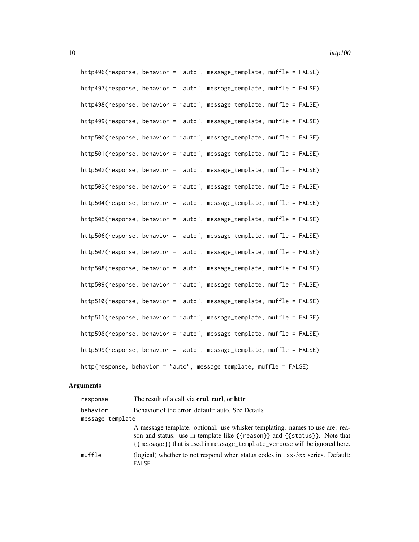http496(response, behavior = "auto", message\_template, muffle = FALSE) http497(response, behavior = "auto", message\_template, muffle = FALSE) http498(response, behavior = "auto", message\_template, muffle = FALSE) http499(response, behavior = "auto", message\_template, muffle = FALSE) http500(response, behavior = "auto", message\_template, muffle = FALSE) http501(response, behavior = "auto", message\_template, muffle = FALSE) http502(response, behavior = "auto", message\_template, muffle = FALSE) http503(response, behavior = "auto", message\_template, muffle = FALSE) http504(response, behavior = "auto", message\_template, muffle = FALSE) http505(response, behavior = "auto", message\_template, muffle = FALSE) http506(response, behavior = "auto", message\_template, muffle = FALSE) http507(response, behavior = "auto", message\_template, muffle = FALSE) http508(response, behavior = "auto", message\_template, muffle = FALSE) http509(response, behavior = "auto", message\_template, muffle = FALSE) http510(response, behavior = "auto", message\_template, muffle = FALSE) http511(response, behavior = "auto", message\_template, muffle = FALSE) http598(response, behavior = "auto", message\_template, muffle = FALSE) http599(response, behavior = "auto", message\_template, muffle = FALSE) http(response, behavior = "auto", message\_template, muffle = FALSE)

#### **Arguments**

| response         | The result of a call via <b>crul</b> , <b>curl</b> , or <b>httr</b>                                                                                                                                                                     |
|------------------|-----------------------------------------------------------------------------------------------------------------------------------------------------------------------------------------------------------------------------------------|
| behavior         | Behavior of the error. default: auto. See Details                                                                                                                                                                                       |
| message_template |                                                                                                                                                                                                                                         |
|                  | A message template. optional. use whisker templating. names to use are: rea-<br>son and status. use in template like {{reason}} and {{status}}. Note that<br>{{message}} that is used in message_template_verbose will be ignored here. |
| muffle           | (logical) whether to not respond when status codes in $1xx-3xx$ series. Default:<br><b>FALSE</b>                                                                                                                                        |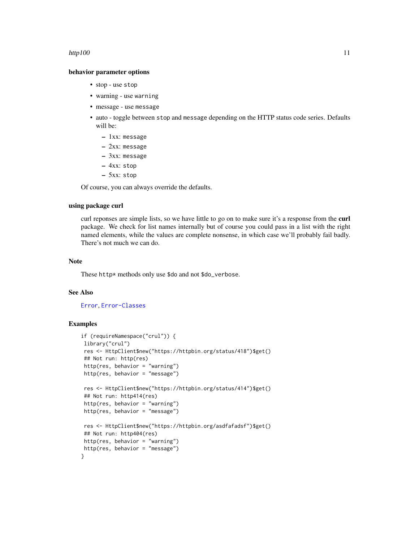#### <span id="page-10-0"></span>http100  $11$

#### behavior parameter options

- stop use stop
- warning use warning
- message use message
- auto toggle between stop and message depending on the HTTP status code series. Defaults will be:
	- 1xx: message
	- 2xx: message
	- 3xx: message
	- 4xx: stop
	- 5xx: stop

Of course, you can always override the defaults.

#### using package curl

curl reponses are simple lists, so we have little to go on to make sure it's a response from the curl package. We check for list names internally but of course you could pass in a list with the right named elements, while the values are complete nonsense, in which case we'll probably fail badly. There's not much we can do.

#### Note

These http\* methods only use \$do and not \$do\_verbose.

#### See Also

#### [Error](#page-1-1), [Error-Classes](#page-4-1)

#### Examples

```
if (requireNamespace("crul")) {
library("crul")
res <- HttpClient$new("https://httpbin.org/status/418")$get()
## Not run: http(res)
http(res, behavior = "warning")
http(res, behavior = "message")
res <- HttpClient$new("https://httpbin.org/status/414")$get()
## Not run: http414(res)
http(res, behavior = "warning")
http(res, behavior = "message")
 res <- HttpClient$new("https://httpbin.org/asdfafadsf")$get()
 ## Not run: http404(res)
http(res, behavior = "warning")
http(res, behavior = "message")
}
```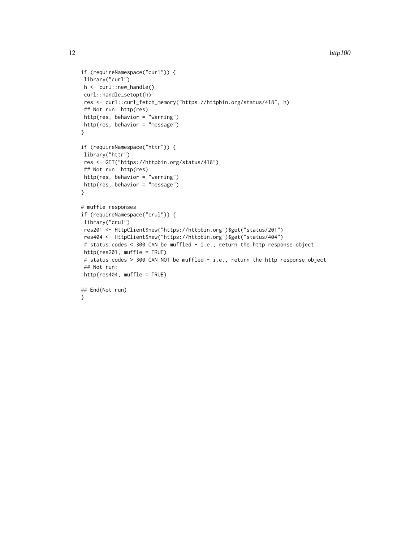```
12 http://www.marchive.com/communications/communications/communications/communications/communications/communications/communications/communications/communications/communications/communications/communications/communications/
```

```
if (requireNamespace("curl")) {
library("curl")
h <- curl::new_handle()
curl::handle_setopt(h)
res <- curl::curl_fetch_memory("https://httpbin.org/status/418", h)
## Not run: http(res)
http(res, behavior = "warning")
http(res, behavior = "message")
}
if (requireNamespace("httr")) {
library("httr")
res <- GET("https://httpbin.org/status/418")
## Not run: http(res)
http(res, behavior = "warning")
http(res, behavior = "message")
}
# muffle responses
if (requireNamespace("crul")) {
library("crul")
res201 <- HttpClient$new("https://httpbin.org")$get("status/201")
res404 <- HttpClient$new("https://httpbin.org")$get("status/404")
# status codes < 300 CAN be muffled - i.e., return the http response object
http(res201, muffle = TRUE)
# status codes > 300 CAN NOT be muffled - i.e., return the http response object
## Not run:
http(res404, muffle = TRUE)
## End(Not run)
}
```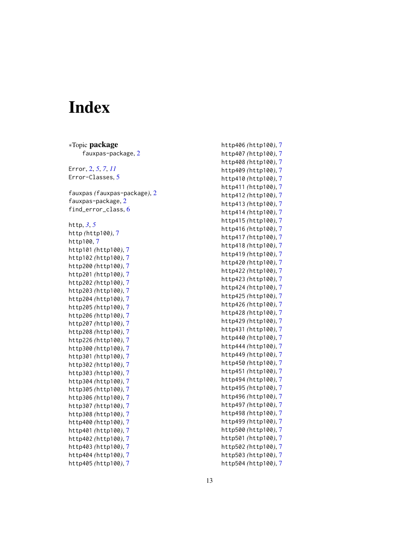# <span id="page-12-0"></span>Index

∗Topic package fauxpas-package , [2](#page-1-0) Error , [2](#page-1-0) , *[5](#page-4-0)* , *[7](#page-6-0)* , *[11](#page-10-0)* Error-Classes , [5](#page-4-0) fauxpas *(*fauxpas-package *)* , [2](#page-1-0) fauxpas-package , [2](#page-1-0) find\_error\_class , [6](#page-5-0) http , *[3](#page-2-0)* , *[5](#page-4-0)* http *(*http100 *)* , [7](#page-6-0) http100 , [7](#page-6-0) http101 *(*http100 *)* , [7](#page-6-0) http102 *(*http100 *)* , [7](#page-6-0) http200 *(*http100 *)* , [7](#page-6-0) http201 *(*http100 *)* , [7](#page-6-0) http202 *(*http100 *)* , [7](#page-6-0) http203 *(*http100 *)* , [7](#page-6-0) http204 *(*http100 *)* , [7](#page-6-0) http205 *(*http100 *)* , [7](#page-6-0) http206 *(*http100 *)* , [7](#page-6-0) http207 *(*http100 *)* , [7](#page-6-0) http208 *(*http100 *)* , [7](#page-6-0) http226 *(*http100 *)* , [7](#page-6-0) http300 *(*http100 *)* , [7](#page-6-0) http301 *(*http100 *)* , [7](#page-6-0) http302 *(*http100 *)* , [7](#page-6-0) http303 *(*http100 *)* , [7](#page-6-0) http304 *(*http100 *)* , [7](#page-6-0) http305 *(*http100 *)* , [7](#page-6-0) http306 *(*http100 *)* , [7](#page-6-0) http307 *(*http100 *)* , [7](#page-6-0) http308 *(*http100 *)* , [7](#page-6-0) http400 *(*http100 *)* , [7](#page-6-0) http401 *(*http100 *)* , [7](#page-6-0) http402 *(*http100 *)* , [7](#page-6-0) http403 *(*http100 *)* , [7](#page-6-0) http404 *(*http100 *)* , [7](#page-6-0) http405 *(*http100 *)* , [7](#page-6-0)

http406 *(*http100 *)* , [7](#page-6-0) http407 *(*http100 *)* , [7](#page-6-0) http408 *(*http100 *)* , [7](#page-6-0) http409 *(*http100 *)* , [7](#page-6-0) http410 *(*http100 *)* , [7](#page-6-0) http411 *(*http100 *)* , [7](#page-6-0) http412 *(*http100 *)* , [7](#page-6-0) http413 *(*http100 *)* , [7](#page-6-0) http414 *(*http100 *)* , [7](#page-6-0) http415 *(*http100 *)* , [7](#page-6-0) http416 *(*http100 *)* , [7](#page-6-0) http417 *(*http100 *)* , [7](#page-6-0) http418 *(*http100 *)* , [7](#page-6-0) http419 *(*http100 *)* , [7](#page-6-0) http420 *(*http100 *)* , [7](#page-6-0) http422 *(*http100 *)* , [7](#page-6-0) http423 *(*http100 *)* , [7](#page-6-0) http424 *(*http100 *)* , [7](#page-6-0) http425 *(*http100 *)* , [7](#page-6-0) http426 *(*http100 *)* , [7](#page-6-0) http428 *(*http100 *)* , [7](#page-6-0) http429 *(*http100 *)* , [7](#page-6-0) http431 *(*http100 *)* , [7](#page-6-0) http440 *(*http100 *)* , [7](#page-6-0) http444 *(*http100 *)* , [7](#page-6-0) http449 *(*http100 *)* , [7](#page-6-0) http450 *(*http100 *)* , [7](#page-6-0) http451 *(*http100 *)* , [7](#page-6-0) http494 *(*http100 *)* , [7](#page-6-0) http495 *(*http100 *)* , [7](#page-6-0) http496 *(*http100 *)* , [7](#page-6-0) http497 *(*http100 *)* , [7](#page-6-0) http498 *(*http100 *)* , [7](#page-6-0) http499 *(*http100 *)* , [7](#page-6-0) http500 *(*http100 *)* , [7](#page-6-0) http501 *(*http100 *)* , [7](#page-6-0) http502 *(*http100 *)* , [7](#page-6-0) http503 *(*http100 *)* , [7](#page-6-0) http504 *(*http100 *)* , [7](#page-6-0)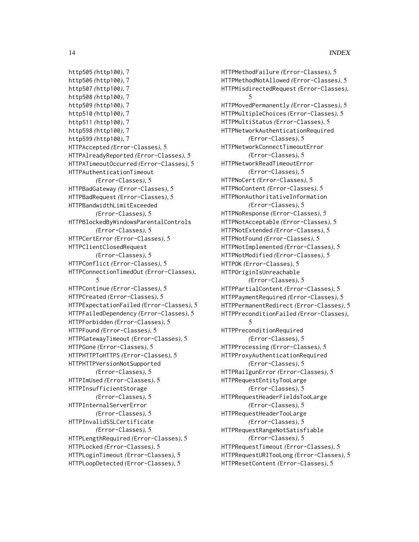```
http505 (http100), 7
http506 (http100), 7
http507 (http100), 7
http508 (http100), 7
http509 (http100), 7
http510 (http100), 7
http511 (http100), 7
http598 (http100), 7
http599 (http100), 7
HTTPAccepted (Error-Classes), 5
HTTPAlreadyReported (Error-Classes), 5
HTTPATimeoutOccurred (Error-Classes), 5
HTTPAuthenticationTimeout
        (Error-Classes), 5
HTTPBadGateway (Error-Classes), 5
HTTPBadRequest (Error-Classes), 5
HTTPBandwidthLimitExceeded
        (Error-Classes), 5
HTTPBlockedByWindowsParentalControls
        (Error-Classes), 5
HTTPCertError (Error-Classes), 5
HTTPClientClosedRequest
        (Error-Classes), 5
HTTPConflict (Error-Classes), 5
HTTPConnectionTimedOut (Error-Classes),
        5
HTTPContinue (Error-Classes), 5
HTTPCreated (Error-Classes), 5
HTTPExpectationFailed (Error-Classes), 5
HTTPFailedDependency (Error-Classes), 5
HTTPForbidden (Error-Classes), 5
HTTPFound (Error-Classes), 5
HTTPGatewayTimeout (Error-Classes), 5
HTTPGone (Error-Classes), 5
HTTPHTTPToHTTPS (Error-Classes), 5
HTTPHTTPVersionNotSupported
        (Error-Classes), 5
HTTPImUsed (Error-Classes), 5
HTTPInsufficientStorage
        (Error-Classes), 5
HTTPInternalServerError
        (Error-Classes), 5
HTTPInvalidSSLCertificate
        (Error-Classes), 5
HTTPLengthRequired (Error-Classes), 5
HTTPLocked (Error-Classes), 5
HTTPLoginTimeout (Error-Classes), 5
HTTPLoopDetected (Error-Classes), 5
```
HTTPMethodFailure *(*Error-Classes*)*, [5](#page-4-0) HTTPMethodNotAllowed *(*Error-Classes*)*, [5](#page-4-0) HTTPMisdirectedRequest *(*Error-Classes*)*, [5](#page-4-0) HTTPMovedPermanently *(*Error-Classes*)*, [5](#page-4-0) HTTPMultipleChoices *(*Error-Classes*)*, [5](#page-4-0) HTTPMultiStatus *(*Error-Classes*)*, [5](#page-4-0) HTTPNetworkAuthenticationRequired *(*Error-Classes*)*, [5](#page-4-0) HTTPNetworkConnectTimeoutError *(*Error-Classes*)*, [5](#page-4-0) HTTPNetworkReadTimeoutError *(*Error-Classes*)*, [5](#page-4-0) HTTPNoCert *(*Error-Classes*)*, [5](#page-4-0) HTTPNoContent *(*Error-Classes*)*, [5](#page-4-0) HTTPNonAuthoritativeInformation *(*Error-Classes*)*, [5](#page-4-0) HTTPNoResponse *(*Error-Classes*)*, [5](#page-4-0) HTTPNotAcceptable *(*Error-Classes*)*, [5](#page-4-0) HTTPNotExtended *(*Error-Classes*)*, [5](#page-4-0) HTTPNotFound *(*Error-Classes*)*, [5](#page-4-0) HTTPNotImplemented *(*Error-Classes*)*, [5](#page-4-0) HTTPNotModified *(*Error-Classes*)*, [5](#page-4-0) HTTPOK *(*Error-Classes*)*, [5](#page-4-0) HTTPOriginIsUnreachable *(*Error-Classes*)*, [5](#page-4-0) HTTPPartialContent *(*Error-Classes*)*, [5](#page-4-0) HTTPPaymentRequired *(*Error-Classes*)*, [5](#page-4-0) HTTPPermanentRedirect *(*Error-Classes*)*, [5](#page-4-0) HTTPPreconditionFailed *(*Error-Classes*)*, [5](#page-4-0) HTTPPreconditionRequired *(*Error-Classes*)*, [5](#page-4-0) HTTPProcessing *(*Error-Classes*)*, [5](#page-4-0) HTTPProxyAuthenticationRequired *(*Error-Classes*)*, [5](#page-4-0) HTTPRailgunError *(*Error-Classes*)*, [5](#page-4-0) HTTPRequestEntityTooLarge *(*Error-Classes*)*, [5](#page-4-0) HTTPRequestHeaderFieldsTooLarge *(*Error-Classes*)*, [5](#page-4-0) HTTPRequestHeaderTooLarge *(*Error-Classes*)*, [5](#page-4-0) HTTPRequestRangeNotSatisfiable *(*Error-Classes*)*, [5](#page-4-0) HTTPRequestTimeout *(*Error-Classes*)*, [5](#page-4-0) HTTPRequestURITooLong *(*Error-Classes*)*, [5](#page-4-0) HTTPResetContent *(*Error-Classes*)*, [5](#page-4-0)